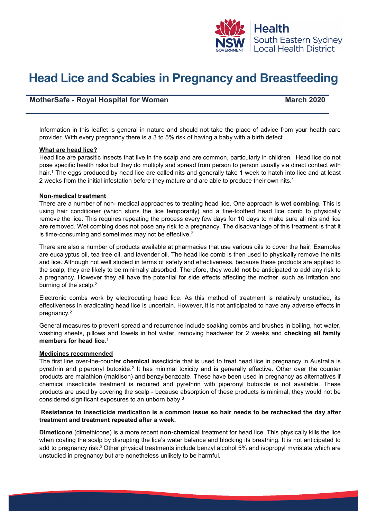

# **Head Lice and Scabies in Pregnancy and Breastfeeding**

# **MotherSafe - Royal Hospital for Women March 2020**

Information in this leaflet is general in nature and should not take the place of advice from your health care provider. With every pregnancy there is a 3 to 5% risk of having a baby with a birth defect.

#### **What are head lice?**

Head lice are parasitic insects that live in the scalp and are common, particularly in children. Head lice do not pose specific health risks but they do multiply and spread from person to person usually via direct contact with hair.<sup>1</sup> The eggs produced by head lice are called nits and generally take 1 week to hatch into lice and at least 2 weeks from the initial infestation before they mature and are able to produce their own nits.1

# **Non-medical treatment**

There are a number of non- medical approaches to treating head lice. One approach is **wet combing**. This is using hair conditioner (which stuns the lice temporarily) and a fine-toothed head lice comb to physically remove the lice. This requires repeating the process every few days for 10 days to make sure all nits and lice are removed. Wet combing does not pose any risk to a pregnancy. The disadvantage of this treatment is that it is time-consuming and sometimes may not be effective.<sup>2</sup>

There are also a number of products available at pharmacies that use various oils to cover the hair. Examples are eucalyptus oil, tea tree oil, and lavender oil. The head lice comb is then used to physically remove the nits and lice. Although not well studied in terms of safety and effectiveness, because these products are applied to the scalp, they are likely to be minimally absorbed. Therefore, they would **not** be anticipated to add any risk to a pregnancy. However they all have the potential for side effects affecting the mother, such as irritation and burning of the scalp.<sup>2</sup>

Electronic combs work by electrocuting head lice. As this method of treatment is relatively unstudied, its effectiveness in eradicating head lice is uncertain. However, it is not anticipated to have any adverse effects in pregnancy.2

General measures to prevent spread and recurrence include soaking combs and brushes in boiling, hot water, washing sheets, pillows and towels in hot water, removing headwear for 2 weeks and **checking all family members for head lice**. 1

#### **Medicines recommended**

The first line over-the-counter **chemical** insecticide that is used to treat head lice in pregnancy in Australia is pyrethrin and piperonyl butoxide.2 It has minimal toxicity and is generally effective. Other over the counter products are malathion (maldison) and benzylbenzoate. These have been used in pregnancy as alternatives if chemical insecticide treatment is required and pyrethrin with piperonyl butoxide is not available. These products are used by covering the scalp - because absorption of these products is minimal, they would not be considered significant exposures to an unborn baby.3

# **Resistance to insecticide medication is a common issue so hair needs to be rechecked the day after treatment and treatment repeated after a week.**

**Dimeticone** (dimethicone) is a more recent **non-chemical** treatment for head lice. This physically kills the lice when coating the scalp by disrupting the lice's water balance and blocking its breathing. It is not anticipated to add to pregnancy risk.<sup>2</sup> Other physical treatments include benzyl alcohol 5% and isopropyl myristate which are unstudied in pregnancy but are nonetheless unlikely to be harmful.